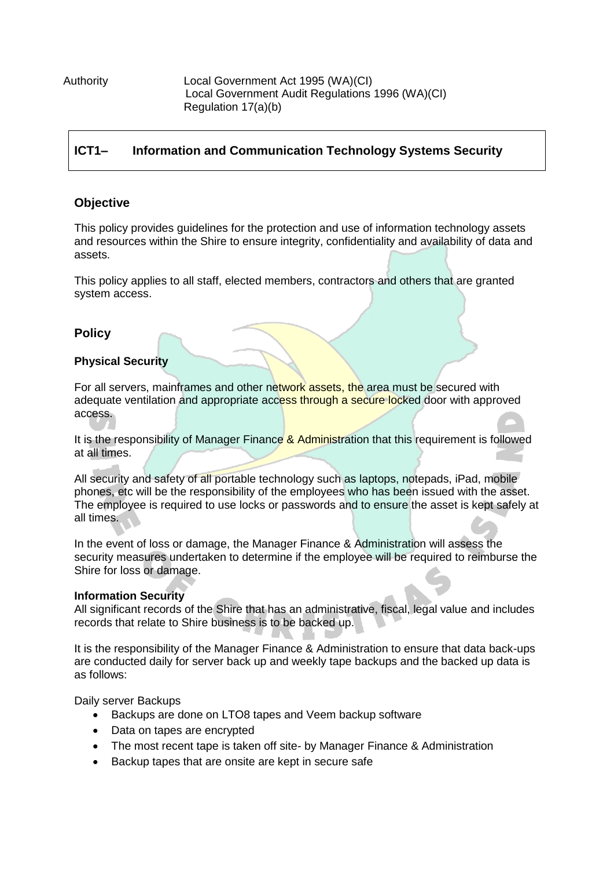Authority Local Government Act 1995 (WA)(CI) Local Government Audit Regulations 1996 (WA)(CI) Regulation 17(a)(b)

# **ICT1– Information and Communication Technology Systems Security**

## **Objective**

This policy provides guidelines for the protection and use of information technology assets and resources within the Shire to ensure integrity, confidentiality and availability of data and assets.

This policy applies to all staff, elected members, contractors and others that are granted system access.

### **Policy**

#### **Physical Security**

For all servers, mainframes and other network assets, the area must be secured with adequate ventilation and appropriate access through a secure locked door with approved access.

It is the responsibility of Manager Finance & Administration that this requirement is followed at all times.

All security and safety of all portable technology such as laptops, notepads, iPad, mobile phones, etc will be the responsibility of the employees who has been issued with the asset. The employee is required to use locks or passwords and to ensure the asset is kept safely at all times.

In the event of loss or damage, the Manager Finance & Administration will assess the security measures undertaken to determine if the employee will be required to reimburse the Shire for loss or damage.

#### **Information Security**

All significant records of the Shire that has an administrative, fiscal, legal value and includes records that relate to Shire business is to be backed up.

It is the responsibility of the Manager Finance & Administration to ensure that data back-ups are conducted daily for server back up and weekly tape backups and the backed up data is as follows:

Daily server Backups

- Backups are done on LTO8 tapes and Veem backup software
- Data on tapes are encrypted
- The most recent tape is taken off site- by Manager Finance & Administration
- Backup tapes that are onsite are kept in secure safe